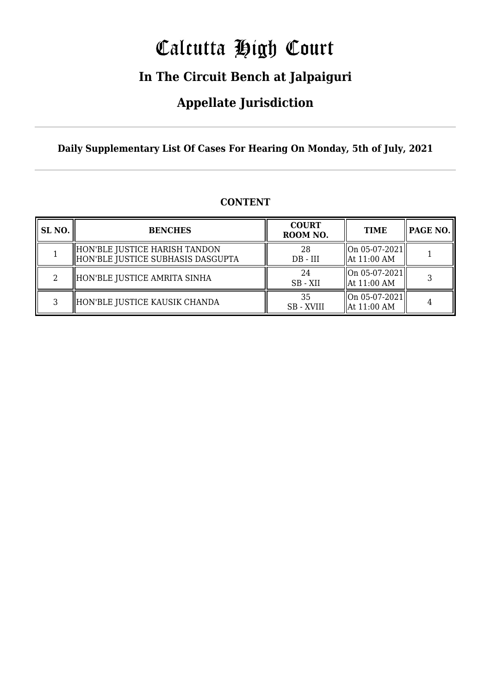# Calcutta High Court

### **In The Circuit Bench at Jalpaiguri**

### **Appellate Jurisdiction**

**Daily Supplementary List Of Cases For Hearing On Monday, 5th of July, 2021**

| SL <sub>NO.</sub> | <b>BENCHES</b>                                                     | <b>COURT</b><br>ROOM NO. | <b>TIME</b>                                       | PAGE NO. |
|-------------------|--------------------------------------------------------------------|--------------------------|---------------------------------------------------|----------|
|                   | HON'BLE JUSTICE HARISH TANDON<br>HON'BLE JUSTICE SUBHASIS DASGUPTA | 28<br>$DB - III$         | $\sqrt{\text{On } 05 - 07 - 2021}$<br>At 11:00 AM |          |
| റ                 | HON'BLE JUSTICE AMRITA SINHA                                       | 24<br>SB - XII           | $\left  \right $ On 05-07-2021<br>At 11:00 AM     |          |
| C.                | HON'BLE JUSTICE KAUSIK CHANDA                                      | 35<br><b>SB</b> - XVIII  | $\mid$ On 05-07-2021<br>At 11:00 AM               |          |

#### **CONTENT**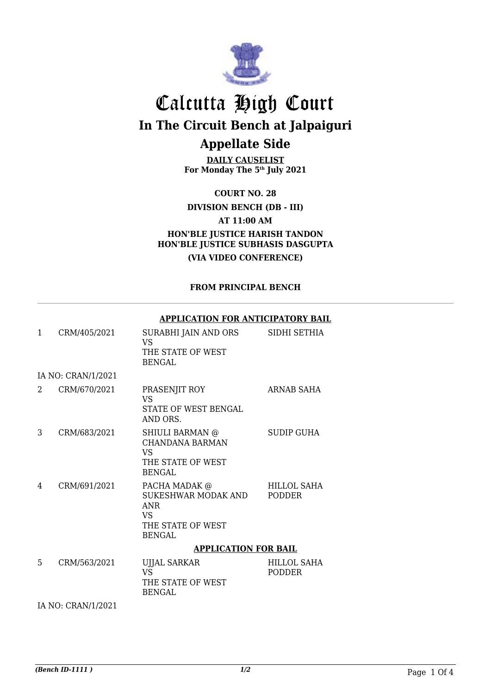

## Calcutta High Court **In The Circuit Bench at Jalpaiguri Appellate Side**

**DAILY CAUSELIST For Monday The 5th July 2021**

**COURT NO. 28 DIVISION BENCH (DB - III)**

**AT 11:00 AM**

**HON'BLE JUSTICE HARISH TANDON HON'BLE JUSTICE SUBHASIS DASGUPTA (VIA VIDEO CONFERENCE)**

#### **FROM PRINCIPAL BENCH**

|              |                    | APPLICATION FOR ANTICIPATORY BAIL                                                               |                              |
|--------------|--------------------|-------------------------------------------------------------------------------------------------|------------------------------|
| $\mathbf{1}$ | CRM/405/2021       | SURABHI JAIN AND ORS<br><b>VS</b><br>THE STATE OF WEST<br><b>BENGAL</b>                         | SIDHI SETHIA                 |
|              | IA NO: CRAN/1/2021 |                                                                                                 |                              |
| 2            | CRM/670/2021       | PRASENJIT ROY<br>VS<br><b>STATE OF WEST BENGAL</b><br>AND ORS.                                  | ARNAB SAHA                   |
| 3            | CRM/683/2021       | SHIULI BARMAN @<br><b>CHANDANA BARMAN</b><br><b>VS</b><br>THE STATE OF WEST<br><b>BENGAL</b>    | <b>SUDIP GUHA</b>            |
| 4            | CRM/691/2021       | PACHA MADAK @<br>SUKESHWAR MODAK AND<br><b>ANR</b><br>VS.<br>THE STATE OF WEST<br><b>BENGAL</b> | HILLOL SAHA<br><b>PODDER</b> |
|              |                    | <b>APPLICATION FOR BAIL</b>                                                                     |                              |
| 5.           | CRM/563/2021       | <b>UJJAL SARKAR</b><br><b>VS</b><br>THE STATE OF WEST<br><b>BENGAL</b>                          | HILLOL SAHA<br><b>PODDER</b> |
|              | IA NO: CRAN/1/2021 |                                                                                                 |                              |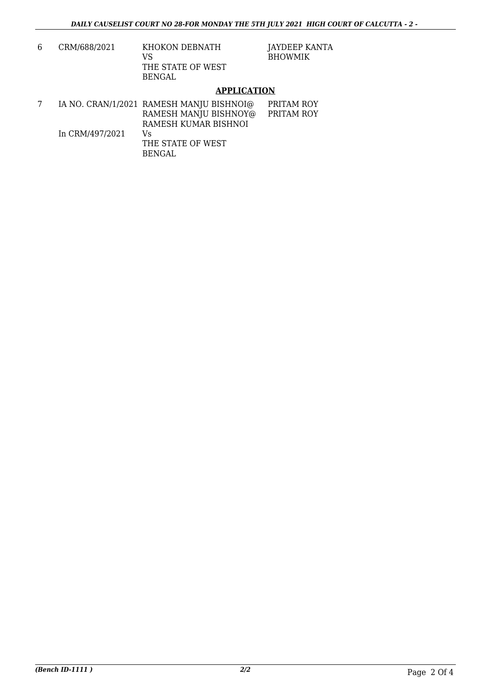| 6. | CRM/688/2021 | KHOKON DEBNATH<br>VS |  |
|----|--------------|----------------------|--|
|    |              | THE STATE OF WEST    |  |
|    |              | <b>BENGAL</b>        |  |

JAYDEEP KANTA BHOWMIK

#### **APPLICATION**

|                 | IA NO. CRAN/1/2021 RAMESH MANJU BISHNOI@ | PRITAM ROY |
|-----------------|------------------------------------------|------------|
|                 | RAMESH MANJU BISHNOY@                    | PRITAM ROY |
|                 | RAMESH KUMAR BISHNOI                     |            |
| In CRM/497/2021 | Vs                                       |            |
|                 | THE STATE OF WEST                        |            |
|                 | BENGAL.                                  |            |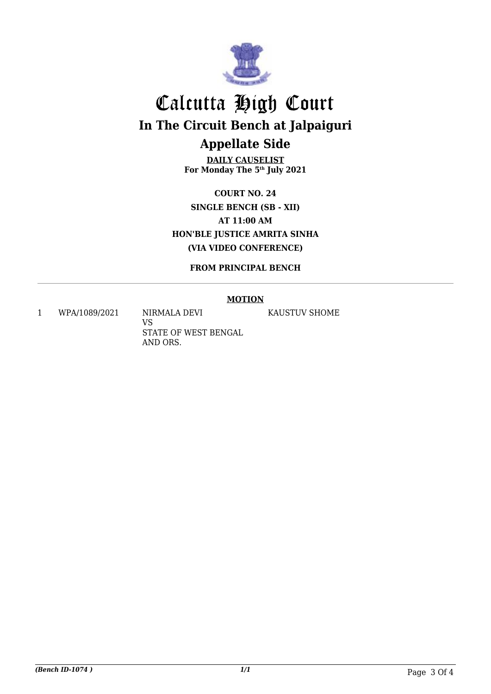

## Calcutta High Court **In The Circuit Bench at Jalpaiguri Appellate Side**

**DAILY CAUSELIST For Monday The 5th July 2021**

**COURT NO. 24 SINGLE BENCH (SB - XII) AT 11:00 AM HON'BLE JUSTICE AMRITA SINHA (VIA VIDEO CONFERENCE)**

**FROM PRINCIPAL BENCH**

#### **MOTION**

1 WPA/1089/2021 NIRMALA DEVI

VS STATE OF WEST BENGAL AND ORS.

KAUSTUV SHOME